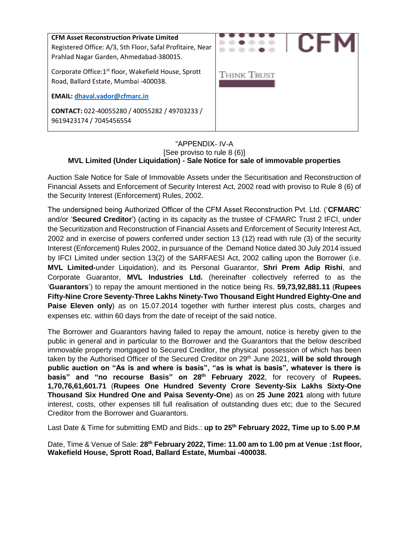

#### "APPENDIX- IV-A [See proviso to rule 8 (6)] **MVL Limited (Under Liquidation) - Sale Notice for sale of immovable properties**

Auction Sale Notice for Sale of Immovable Assets under the Securitisation and Reconstruction of Financial Assets and Enforcement of Security Interest Act, 2002 read with proviso to Rule 8 (6) of the Security Interest (Enforcement) Rules, 2002.

The undersigned being Authorized Officer of the CFM Asset Reconstruction Pvt. Ltd. ('**CFMARC**' and/or '**Secured Creditor**') (acting in its capacity as the trustee of CFMARC Trust 2 IFCI, under the Securitization and Reconstruction of Financial Assets and Enforcement of Security Interest Act, 2002 and in exercise of powers conferred under section 13 (12) read with rule (3) of the security Interest (Enforcement) Rules 2002, in pursuance of the Demand Notice dated 30 July 2014 issued by IFCI Limited under section 13(2) of the SARFAESI Act, 2002 calling upon the Borrower (i.e. **MVL Limited-**under Liquidation), and its Personal Guarantor, **Shri Prem Adip Rishi**, and Corporate Guarantor, **MVL Industries Ltd.** (hereinafter collectively referred to as the '**Guarantors**') to repay the amount mentioned in the notice being Rs. **59,73,92,881.11** (**Rupees Fifty-Nine Crore Seventy-Three Lakhs Ninety-Two Thousand Eight Hundred Eighty-One and Paise Eleven only**) as on 15.07.2014 together with further interest plus costs, charges and expenses etc. within 60 days from the date of receipt of the said notice.

The Borrower and Guarantors having failed to repay the amount, notice is hereby given to the public in general and in particular to the Borrower and the Guarantors that the below described immovable property mortgaged to Secured Creditor, the physical possession of which has been taken by the Authorised Officer of the Secured Creditor on 29<sup>th</sup> June 2021, will be sold through **public auction on "As is and where is basis", "as is what is basis", whatever is there is basis" and "no recourse Basis" on 28th February 2022**, for recovery of **Rupees. 1,70,76,61,601.71** (**Rupees One Hundred Seventy Crore Seventy-Six Lakhs Sixty-One Thousand Six Hundred One and Paisa Seventy-One**) as on **25 June 2021** along with future interest, costs, other expenses till full realisation of outstanding dues etc; due to the Secured Creditor from the Borrower and Guarantors.

Last Date & Time for submitting EMD and Bids.: **up to 25th February 2022, Time up to 5.00 P.M**

Date, Time & Venue of Sale: **28th February 2022, Time: 11.00 am to 1.00 pm at Venue :1st floor, Wakefield House, Sprott Road, Ballard Estate, Mumbai -400038.**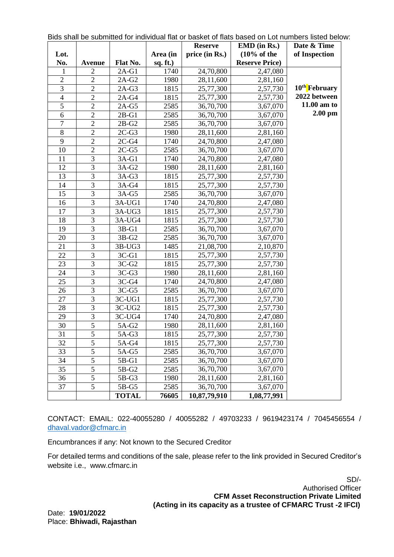|                |                |              |          | <b>Reserve</b> | <u>Dius Stiali De Subtificiento i individual fiat of basket of fiats based off Eucharibeis listed belo</u><br>$EMD$ (in Rs.) | Date & Time               |
|----------------|----------------|--------------|----------|----------------|------------------------------------------------------------------------------------------------------------------------------|---------------------------|
| Lot.           |                |              | Area (in | price (in Rs.) | $(10\% \text{ of the})$                                                                                                      | of Inspection             |
| No.            | <b>Avenue</b>  | Flat No.     | sq. ft.) |                | <b>Reserve Price</b> )                                                                                                       |                           |
| 1              | $\overline{2}$ | $2A-G1$      | 1740     | 24,70,800      | 2,47,080                                                                                                                     |                           |
| $\overline{2}$ | $\overline{2}$ | $2A-G2$      | 1980     | 28,11,600      | 2,81,160                                                                                                                     |                           |
| 3              | $\overline{2}$ | $2A-G3$      | 1815     | 25,77,300      | 2,57,730                                                                                                                     | 10 <sup>th</sup> February |
| $\overline{4}$ | $\overline{2}$ | $2A-G4$      | 1815     | 25,77,300      | 2,57,730                                                                                                                     | 2022 between              |
| $\mathfrak{S}$ | $\overline{2}$ | $2A-G5$      | 2585     | 36,70,700      | 3,67,070                                                                                                                     | 11.00 am to               |
| 6              | $\overline{2}$ | $2B-G1$      | 2585     | 36,70,700      | 3,67,070                                                                                                                     | $2.00$ pm                 |
| 7              | $\overline{2}$ | $2B-G2$      | 2585     | 36,70,700      | 3,67,070                                                                                                                     |                           |
| 8              | $\overline{2}$ | $2C-G3$      | 1980     | 28,11,600      | 2,81,160                                                                                                                     |                           |
| 9              | $\overline{2}$ | $2C-G4$      | 1740     | 24,70,800      | 2,47,080                                                                                                                     |                           |
| 10             | $\overline{2}$ | $2C-G5$      | 2585     | 36,70,700      | 3,67,070                                                                                                                     |                           |
| 11             | 3              | $3A-G1$      | 1740     | 24,70,800      | 2,47,080                                                                                                                     |                           |
| 12             | 3              | $3A-G2$      | 1980     | 28,11,600      | 2,81,160                                                                                                                     |                           |
| 13             | 3              | $3A-G3$      | 1815     | 25,77,300      | 2,57,730                                                                                                                     |                           |
| 14             | 3              | 3A-G4        | 1815     | 25,77,300      | 2,57,730                                                                                                                     |                           |
| 15             | 3              | $3A-G5$      | 2585     | 36,70,700      | 3,67,070                                                                                                                     |                           |
| 16             | 3              | $3A-UG1$     | 1740     | 24,70,800      | 2,47,080                                                                                                                     |                           |
| 17             | 3              | $3A-UG3$     | 1815     | 25,77,300      | 2,57,730                                                                                                                     |                           |
| 18             | 3              | 3A-UG4       | 1815     | 25,77,300      | 2,57,730                                                                                                                     |                           |
| 19             | $\overline{3}$ | $3B-G1$      | 2585     | 36,70,700      | 3,67,070                                                                                                                     |                           |
| 20             | 3              | $3B-G2$      | 2585     | 36,70,700      | 3,67,070                                                                                                                     |                           |
| 21             | 3              | $3B-UG3$     | 1485     | 21,08,700      | 2,10,870                                                                                                                     |                           |
| 22             | 3              | $3C-G1$      | 1815     | 25,77,300      | 2,57,730                                                                                                                     |                           |
| 23             | 3              | $3C-G2$      | 1815     | 25,77,300      | 2,57,730                                                                                                                     |                           |
| 24             | 3              | $3C-G3$      | 1980     | 28,11,600      | 2,81,160                                                                                                                     |                           |
| 25             | 3              | $3C-G4$      | 1740     | 24,70,800      | 2,47,080                                                                                                                     |                           |
| 26             | 3              | $3C-G5$      | 2585     | 36,70,700      | 3,67,070                                                                                                                     |                           |
| 27             | 3              | $3C-UG1$     | 1815     | 25,77,300      | 2,57,730                                                                                                                     |                           |
| 28             | 3              | $3C-UG2$     | 1815     | 25,77,300      | 2,57,730                                                                                                                     |                           |
| 29             | 3              | 3C-UG4       | 1740     | 24,70,800      | 2,47,080                                                                                                                     |                           |
| 30             | 5              | 5A-G2        | 1980     | 28,11,600      | 2,81,160                                                                                                                     |                           |
| 31             | $\overline{5}$ | 5A-G3        | 1815     | 25,77,300      | 2,57,730                                                                                                                     |                           |
| 32             | 5              | 5A-G4        | 1815     | 25,77,300      | 2,57,730                                                                                                                     |                           |
| 33             | 5              | 5A-G5        | 2585     | 36,70,700      | 3,67,070                                                                                                                     |                           |
| 34             | 5              | 5B-G1        | 2585     | 36,70,700      | 3,67,070                                                                                                                     |                           |
| 35             | 5              | 5B-G2        | 2585     | 36,70,700      | 3,67,070                                                                                                                     |                           |
| 36             | 5              | 5B-G3        | 1980     | 28,11,600      | 2,81,160                                                                                                                     |                           |
| 37             | 5              | 5B-G5        | 2585     | 36,70,700      | 3,67,070                                                                                                                     |                           |
|                |                | <b>TOTAL</b> | 76605    | 10,87,79,910   | 1,08,77,991                                                                                                                  |                           |

Bids shall be submitted for individual flat or basket of flats based on Lot numbers listed below:

CONTACT: EMAIL: 022-40055280 / 40055282 / 49703233 / 9619423174 / 7045456554 / [dhaval.vador@cfmarc.in](mailto:dhaval.vador@cfmarc.in)

Encumbrances if any: Not known to the Secured Creditor

For detailed terms and conditions of the sale, please refer to the link provided in Secured Creditor's website i.e., www.cfmarc.in

> SD/- Authorised Officer **CFM Asset Reconstruction Private Limited (Acting in its capacity as a trustee of CFMARC Trust -2 IFCI)**

Date: **19/01/2022** Place: **Bhiwadi, Rajasthan**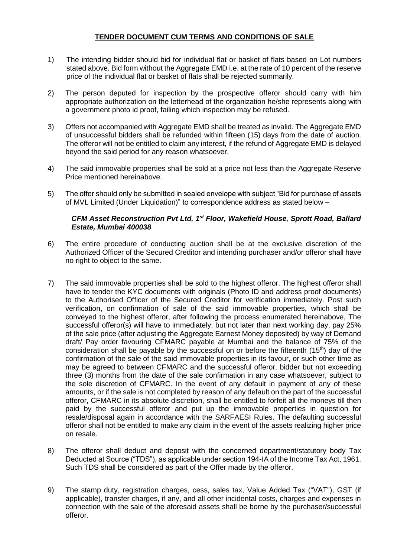## **TENDER DOCUMENT CUM TERMS AND CONDITIONS OF SALE**

- 1) The intending bidder should bid for individual flat or basket of flats based on Lot numbers stated above. Bid form without the Aggregate EMD i.e. at the rate of 10 percent of the reserve price of the individual flat or basket of flats shall be rejected summarily.
- 2) The person deputed for inspection by the prospective offeror should carry with him appropriate authorization on the letterhead of the organization he/she represents along with a government photo id proof, failing which inspection may be refused.
- 3) Offers not accompanied with Aggregate EMD shall be treated as invalid. The Aggregate EMD of unsuccessful bidders shall be refunded within fifteen (15) days from the date of auction. The offeror will not be entitled to claim any interest, if the refund of Aggregate EMD is delayed beyond the said period for any reason whatsoever.
- 4) The said immovable properties shall be sold at a price not less than the Aggregate Reserve Price mentioned hereinabove.
- 5) The offer should only be submitted in sealed envelope with subject "Bid for purchase of assets of MVL Limited (Under Liquidation)" to correspondence address as stated below –

### *CFM Asset Reconstruction Pvt Ltd, 1st Floor, Wakefield House, Sprott Road, Ballard Estate, Mumbai 400038*

- 6) The entire procedure of conducting auction shall be at the exclusive discretion of the Authorized Officer of the Secured Creditor and intending purchaser and/or offeror shall have no right to object to the same.
- 7) The said immovable properties shall be sold to the highest offeror. The highest offeror shall have to tender the KYC documents with originals (Photo ID and address proof documents) to the Authorised Officer of the Secured Creditor for verification immediately. Post such verification, on confirmation of sale of the said immovable properties, which shall be conveyed to the highest offeror, after following the process enumerated hereinabove, The successful offeror(s) will have to immediately, but not later than next working day, pay 25% of the sale price (after adjusting the Aggregate Earnest Money deposited) by way of Demand draft/ Pay order favouring CFMARC payable at Mumbai and the balance of 75% of the consideration shall be payable by the successful on or before the fifteenth (15<sup>th</sup>) day of the confirmation of the sale of the said immovable properties in its favour, or such other time as may be agreed to between CFMARC and the successful offeror, bidder but not exceeding three (3) months from the date of the sale confirmation in any case whatsoever, subject to the sole discretion of CFMARC. In the event of any default in payment of any of these amounts, or if the sale is not completed by reason of any default on the part of the successful offeror, CFMARC in its absolute discretion, shall be entitled to forfeit all the moneys till then paid by the successful offeror and put up the immovable properties in question for resale/disposal again in accordance with the SARFAESI Rules. The defaulting successful offeror shall not be entitled to make any claim in the event of the assets realizing higher price on resale.
- 8) The offeror shall deduct and deposit with the concerned department/statutory body Tax Deducted at Source ("TDS"), as applicable under section 194-IA of the Income Tax Act, 1961. Such TDS shall be considered as part of the Offer made by the offeror.
- 9) The stamp duty, registration charges, cess, sales tax, Value Added Tax ("VAT"), GST (if applicable), transfer charges, if any, and all other incidental costs, charges and expenses in connection with the sale of the aforesaid assets shall be borne by the purchaser/successful offeror.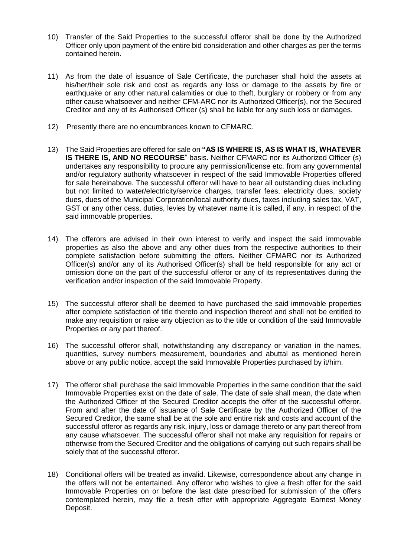- 10) Transfer of the Said Properties to the successful offeror shall be done by the Authorized Officer only upon payment of the entire bid consideration and other charges as per the terms contained herein.
- 11) As from the date of issuance of Sale Certificate, the purchaser shall hold the assets at his/her/their sole risk and cost as regards any loss or damage to the assets by fire or earthquake or any other natural calamities or due to theft, burglary or robbery or from any other cause whatsoever and neither CFM-ARC nor its Authorized Officer(s), nor the Secured Creditor and any of its Authorised Officer (s) shall be liable for any such loss or damages.
- 12) Presently there are no encumbrances known to CFMARC.
- 13) The Said Properties are offered for sale on **"AS IS WHERE IS, AS IS WHAT IS, WHATEVER IS THERE IS, AND NO RECOURSE**" basis. Neither CFMARC nor its Authorized Officer (s) undertakes any responsibility to procure any permission/license etc. from any governmental and/or regulatory authority whatsoever in respect of the said Immovable Properties offered for sale hereinabove. The successful offeror will have to bear all outstanding dues including but not limited to water/electricity/service charges, transfer fees, electricity dues, society dues, dues of the Municipal Corporation/local authority dues, taxes including sales tax, VAT, GST or any other cess, duties, levies by whatever name it is called, if any, in respect of the said immovable properties.
- 14) The offerors are advised in their own interest to verify and inspect the said immovable properties as also the above and any other dues from the respective authorities to their complete satisfaction before submitting the offers. Neither CFMARC nor its Authorized Officer(s) and/or any of its Authorised Officer(s) shall be held responsible for any act or omission done on the part of the successful offeror or any of its representatives during the verification and/or inspection of the said Immovable Property.
- 15) The successful offeror shall be deemed to have purchased the said immovable properties after complete satisfaction of title thereto and inspection thereof and shall not be entitled to make any requisition or raise any objection as to the title or condition of the said Immovable Properties or any part thereof.
- 16) The successful offeror shall, notwithstanding any discrepancy or variation in the names, quantities, survey numbers measurement, boundaries and abuttal as mentioned herein above or any public notice, accept the said Immovable Properties purchased by it/him.
- 17) The offeror shall purchase the said Immovable Properties in the same condition that the said Immovable Properties exist on the date of sale. The date of sale shall mean, the date when the Authorized Officer of the Secured Creditor accepts the offer of the successful offeror. From and after the date of issuance of Sale Certificate by the Authorized Officer of the Secured Creditor, the same shall be at the sole and entire risk and costs and account of the successful offeror as regards any risk, injury, loss or damage thereto or any part thereof from any cause whatsoever. The successful offeror shall not make any requisition for repairs or otherwise from the Secured Creditor and the obligations of carrying out such repairs shall be solely that of the successful offeror.
- 18) Conditional offers will be treated as invalid. Likewise, correspondence about any change in the offers will not be entertained. Any offeror who wishes to give a fresh offer for the said Immovable Properties on or before the last date prescribed for submission of the offers contemplated herein, may file a fresh offer with appropriate Aggregate Earnest Money Deposit.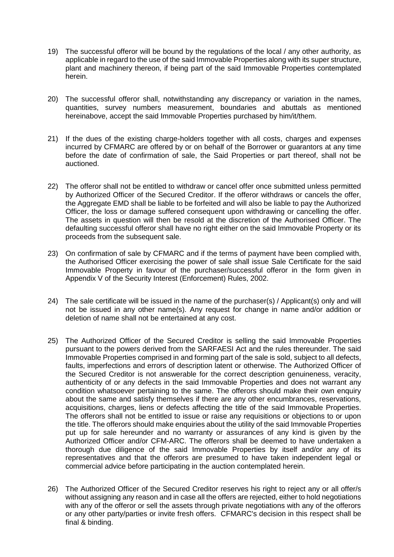- 19) The successful offeror will be bound by the regulations of the local / any other authority, as applicable in regard to the use of the said Immovable Properties along with its super structure, plant and machinery thereon, if being part of the said Immovable Properties contemplated herein.
- 20) The successful offeror shall, notwithstanding any discrepancy or variation in the names, quantities, survey numbers measurement, boundaries and abuttals as mentioned hereinabove, accept the said Immovable Properties purchased by him/it/them.
- 21) If the dues of the existing charge-holders together with all costs, charges and expenses incurred by CFMARC are offered by or on behalf of the Borrower or guarantors at any time before the date of confirmation of sale, the Said Properties or part thereof, shall not be auctioned.
- 22) The offeror shall not be entitled to withdraw or cancel offer once submitted unless permitted by Authorized Officer of the Secured Creditor. If the offeror withdraws or cancels the offer, the Aggregate EMD shall be liable to be forfeited and will also be liable to pay the Authorized Officer, the loss or damage suffered consequent upon withdrawing or cancelling the offer. The assets in question will then be resold at the discretion of the Authorised Officer. The defaulting successful offeror shall have no right either on the said Immovable Property or its proceeds from the subsequent sale.
- 23) On confirmation of sale by CFMARC and if the terms of payment have been complied with, the Authorised Officer exercising the power of sale shall issue Sale Certificate for the said Immovable Property in favour of the purchaser/successful offeror in the form given in Appendix V of the Security Interest (Enforcement) Rules, 2002.
- 24) The sale certificate will be issued in the name of the purchaser(s) / Applicant(s) only and will not be issued in any other name(s). Any request for change in name and/or addition or deletion of name shall not be entertained at any cost.
- 25) The Authorized Officer of the Secured Creditor is selling the said Immovable Properties pursuant to the powers derived from the SARFAESI Act and the rules thereunder. The said Immovable Properties comprised in and forming part of the sale is sold, subject to all defects, faults, imperfections and errors of description latent or otherwise. The Authorized Officer of the Secured Creditor is not answerable for the correct description genuineness, veracity, authenticity of or any defects in the said Immovable Properties and does not warrant any condition whatsoever pertaining to the same. The offerors should make their own enquiry about the same and satisfy themselves if there are any other encumbrances, reservations, acquisitions, charges, liens or defects affecting the title of the said Immovable Properties. The offerors shall not be entitled to issue or raise any requisitions or objections to or upon the title. The offerors should make enquiries about the utility of the said Immovable Properties put up for sale hereunder and no warranty or assurances of any kind is given by the Authorized Officer and/or CFM-ARC. The offerors shall be deemed to have undertaken a thorough due diligence of the said Immovable Properties by itself and/or any of its representatives and that the offerors are presumed to have taken independent legal or commercial advice before participating in the auction contemplated herein.
- 26) The Authorized Officer of the Secured Creditor reserves his right to reject any or all offer/s without assigning any reason and in case all the offers are rejected, either to hold negotiations with any of the offeror or sell the assets through private negotiations with any of the offerors or any other party/parties or invite fresh offers. CFMARC's decision in this respect shall be final & binding.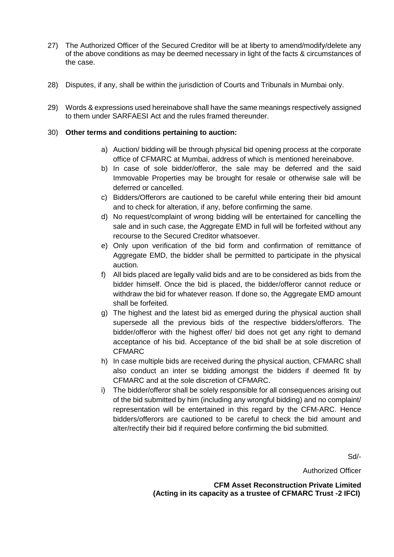- 27) The Authorized Officer of the Secured Creditor will be at liberty to amend/modify/delete any of the above conditions as may be deemed necessary in light of the facts & circumstances of the case.
- 28) Disputes, if any, shall be within the jurisdiction of Courts and Tribunals in Mumbai only.
- 29) Words & expressions used hereinabove shall have the same meanings respectively assigned to them under SARFAESI Act and the rules framed thereunder.

### 30) **Other terms and conditions pertaining to auction:**

- a) Auction/ bidding will be through physical bid opening process at the corporate office of CFMARC at Mumbai, address of which is mentioned hereinabove.
- b) In case of sole bidder/offeror, the sale may be deferred and the said Immovable Properties may be brought for resale or otherwise sale will be deferred or cancelled.
- c) Bidders/Offerors are cautioned to be careful while entering their bid amount and to check for alteration, if any, before confirming the same.
- d) No request/complaint of wrong bidding will be entertained for cancelling the sale and in such case, the Aggregate EMD in full will be forfeited without any recourse to the Secured Creditor whatsoever.
- e) Only upon verification of the bid form and confirmation of remittance of Aggregate EMD, the bidder shall be permitted to participate in the physical auction.
- f) All bids placed are legally valid bids and are to be considered as bids from the bidder himself. Once the bid is placed, the bidder/offeror cannot reduce or withdraw the bid for whatever reason. If done so, the Aggregate EMD amount shall be forfeited.
- g) The highest and the latest bid as emerged during the physical auction shall supersede all the previous bids of the respective bidders/offerors. The bidder/offeror with the highest offer/ bid does not get any right to demand acceptance of his bid. Acceptance of the bid shall be at sole discretion of CFMARC
- h) In case multiple bids are received during the physical auction, CFMARC shall also conduct an inter se bidding amongst the bidders if deemed fit by CFMARC and at the sole discretion of CFMARC.
- i) The bidder/offeror shall be solely responsible for all consequences arising out of the bid submitted by him (including any wrongful bidding) and no complaint/ representation will be entertained in this regard by the CFM-ARC. Hence bidders/offerors are cautioned to be careful to check the bid amount and alter/rectify their bid if required before confirming the bid submitted.

Sd/-

Authorized Officer

**CFM Asset Reconstruction Private Limited (Acting in its capacity as a trustee of CFMARC Trust -2 IFCI)**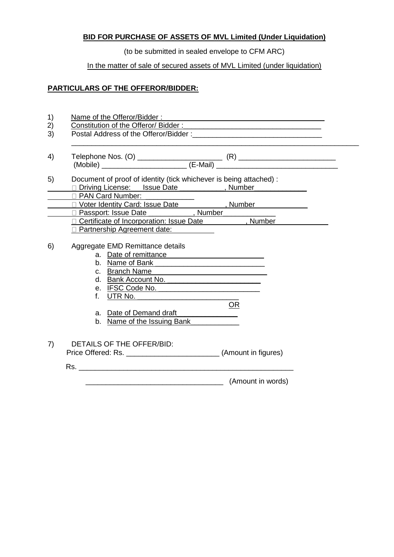# **BID FOR PURCHASE OF ASSETS OF MVL Limited (Under Liquidation)**

(to be submitted in sealed envelope to CFM ARC)

## In the matter of sale of secured assets of MVL Limited (under liquidation)

## **PARTICULARS OF THE OFFEROR/BIDDER:**

| Document of proof of identity (tick whichever is being attached) :<br>Diving License: Issue Date (1998), Number                                                                                                                                                                                                                                                                                                                                                                                                                                                                                                                                                                                                           |
|---------------------------------------------------------------------------------------------------------------------------------------------------------------------------------------------------------------------------------------------------------------------------------------------------------------------------------------------------------------------------------------------------------------------------------------------------------------------------------------------------------------------------------------------------------------------------------------------------------------------------------------------------------------------------------------------------------------------------|
| D PAN Card Number: ___________<br>□ Voter Identity Card: Issue Date (National All All Almber National Almber National Alman Alman National Alman                                                                                                                                                                                                                                                                                                                                                                                                                                                                                                                                                                          |
| D Passport: Issue Date (Number                                                                                                                                                                                                                                                                                                                                                                                                                                                                                                                                                                                                                                                                                            |
| Certificate of Incorporation: Issue Date Number<br>□ Partnership Agreement date:                                                                                                                                                                                                                                                                                                                                                                                                                                                                                                                                                                                                                                          |
| Aggregate EMD Remittance details<br>a. Date of remittance <b>contained</b> and a manufacturer of the state of the state of the state of the state of the state of the state of the state of the state of the state of the state of the state of the state of the state<br>b. Name of Bank<br>c. Branch Name<br>d. Bank Account No.<br>e. IFSC Code No. The contract of the contract of the contract of the contract of the contract of the contract of the contract of the contract of the contract of the contract of the contract of the contract of the contract<br>f. UTR No. ____________________<br>OR<br>a. Date of Demand draft <b>contains the set of the set of Demand draft</b><br>b. Name of the Issuing Bank |
| DETAILS OF THE OFFER/BID:                                                                                                                                                                                                                                                                                                                                                                                                                                                                                                                                                                                                                                                                                                 |
|                                                                                                                                                                                                                                                                                                                                                                                                                                                                                                                                                                                                                                                                                                                           |